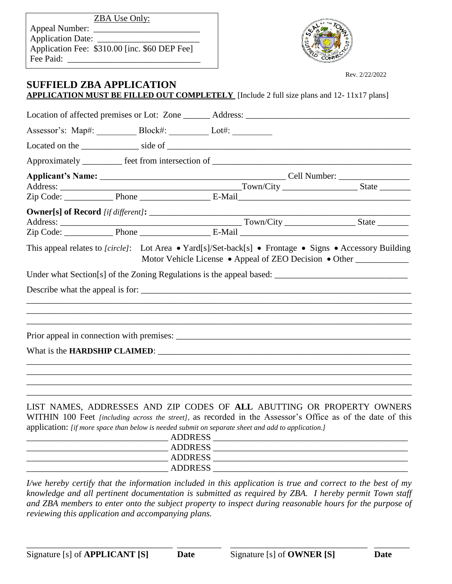Appeal Number: \_ Application Date: \_ Application Fee: \$310.00 [inc. \$60 DEP Fee] Fee Paid:



Rev. 2/22/2022

## **SUFFIELD ZBA APPLICATION APPLICATION MUST BE FILLED OUT COMPLETELY** [Include 2 full size plans and 12- 11x17 plans]

|  |                                       | Location of affected premises or Lot: Zone _______ Address: _____________________ |  |
|--|---------------------------------------|-----------------------------------------------------------------------------------|--|
|  | Assessor's: Map#: Block#: Lot#: Lot#: |                                                                                   |  |
|  |                                       |                                                                                   |  |
|  |                                       |                                                                                   |  |
|  |                                       |                                                                                   |  |
|  |                                       |                                                                                   |  |
|  |                                       |                                                                                   |  |
|  |                                       | <b>Owner[s] of Record</b> [if different]:                                         |  |
|  |                                       |                                                                                   |  |
|  |                                       |                                                                                   |  |
|  |                                       |                                                                                   |  |
|  |                                       | Prior appeal in connection with premises:                                         |  |
|  |                                       |                                                                                   |  |
|  |                                       | ,我们也不能在这里的时候,我们也不能在这里的时候,我们也不能会在这里的时候,我们也不能会在这里的时候,我们也不能会在这里的时候,我们也不能会在这里的时候,我们也不 |  |
|  |                                       | LIST MAMES ADDRESSES AND ZIP CODES OF ALL ARLITTING OR PROPERTY OWNERS            |  |

LIST NAMES, ADDRESSES AND ZIP CODES OF **ALL** ABUTTING OR PROPERTY OWNERS WITHIN 100 Feet *[including across the street]*, as recorded in the Assessor's Office as of the date of this application: *[if more space than below is needed submit on separate sheet and add to application.]*

| - -<br><b>ADDRESS</b> |  |
|-----------------------|--|
| <b>ADDRESS</b>        |  |
| <b>ADDRESS</b>        |  |
| <b>ADDRESS</b>        |  |
|                       |  |

*I/we hereby certify that the information included in this application is true and correct to the best of my knowledge and all pertinent documentation is submitted as required by ZBA. I hereby permit Town staff and ZBA members to enter onto the subject property to inspect during reasonable hours for the purpose of reviewing this application and accompanying plans.*